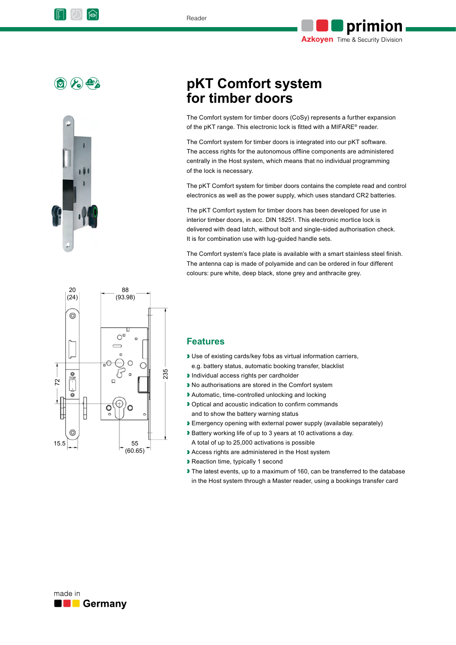





# **pKT Comfort system for timber doors**

The Comfort system for timber doors (CoSy) represents a further expansion of the pKT range. This electronic lock is fitted with a MIFARE® reader.

The Comfort system for timber doors is integrated into our pKT software. The access rights for the autonomous offline components are administered centrally in the Host system, which means that no individual programming of the lock is necessary.

The pKT Comfort system for timber doors contains the complete read and control electronics as well as the power supply, which uses standard CR2 batteries.

The pKT Comfort system for timber doors has been developed for use in interior timber doors, in acc. DIN 18251. This electronic mortice lock is delivered with dead latch, without bolt and single-sided authorisation check. It is for combination use with lug-guided handle sets.

The Comfort system's face plate is available with a smart stainless steel finish. The antenna cap is made of polyamide and can be ordered in four different colours: pure white, deep black, stone grey and anthracite grey.



#### **Features**

- ❱ Use of existing cards/key fobs as virtual information carriers, e.g. battery status, automatic booking transfer, blacklist
- ❱ Individual access rights per cardholder
- No authorisations are stored in the Comfort system
- ❱ Automatic, time-controlled unlocking and locking
- ❱ Optical and acoustic indication to confirm commands and to show the battery warning status
- **Emergency opening with external power supply (available separately)**
- ❱ Battery working life of up to 3 years at 10 activations a day. A total of up to 25,000 activations is possible
- Access rights are administered in the Host system
- ❱ Reaction time, typically 1 second
- The latest events, up to a maximum of 160, can be transferred to the database in the Host system through a Master reader, using a bookings transfer card